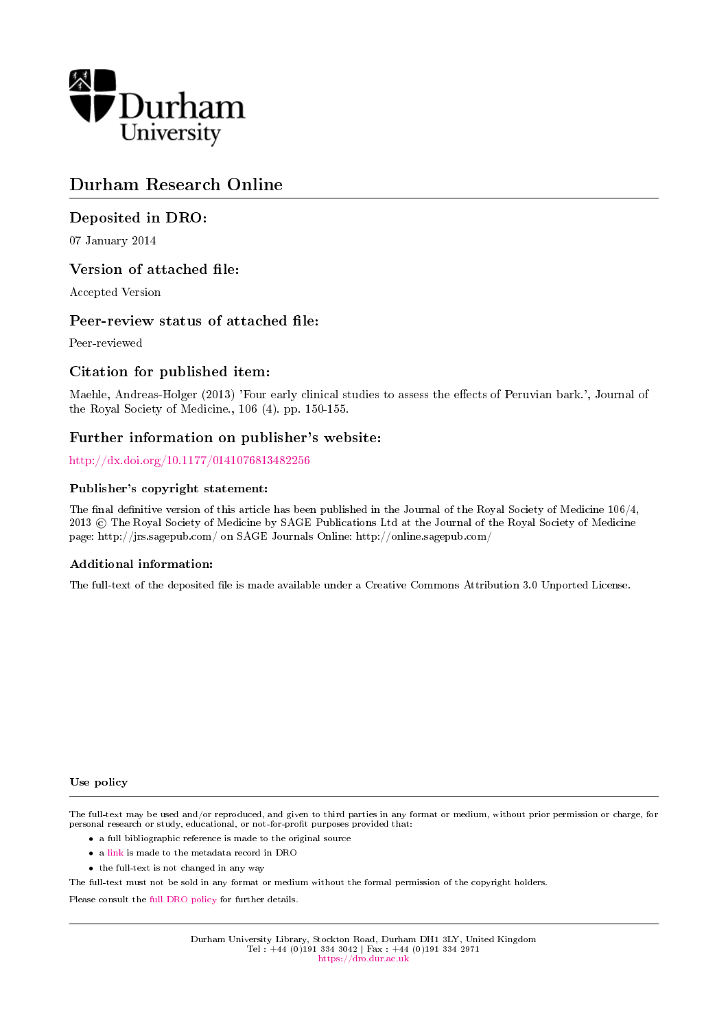

# Durham Research Online

# Deposited in DRO:

07 January 2014

## Version of attached file:

Accepted Version

## Peer-review status of attached file:

Peer-reviewed

# Citation for published item:

Maehle, Andreas-Holger (2013) 'Four early clinical studies to assess the effects of Peruvian bark.', Journal of the Royal Society of Medicine., 106 (4). pp. 150-155.

# Further information on publisher's website:

<http://dx.doi.org/10.1177/0141076813482256>

## Publisher's copyright statement:

The final definitive version of this article has been published in the Journal of the Royal Society of Medicine  $106/4$ , 2013 © The Royal Society of Medicine by SAGE Publications Ltd at the Journal of the Royal Society of Medicine page: http://jrs.sagepub.com/ on SAGE Journals Online: http://online.sagepub.com/

## Additional information:

The full-text of the deposited file is made available under a Creative Commons Attribution 3.0 Unported License.

#### Use policy

The full-text may be used and/or reproduced, and given to third parties in any format or medium, without prior permission or charge, for personal research or study, educational, or not-for-profit purposes provided that:

- a full bibliographic reference is made to the original source
- a [link](http://dro.dur.ac.uk/11489/) is made to the metadata record in DRO
- the full-text is not changed in any way

The full-text must not be sold in any format or medium without the formal permission of the copyright holders.

Please consult the [full DRO policy](https://dro.dur.ac.uk/policies/usepolicy.pdf) for further details.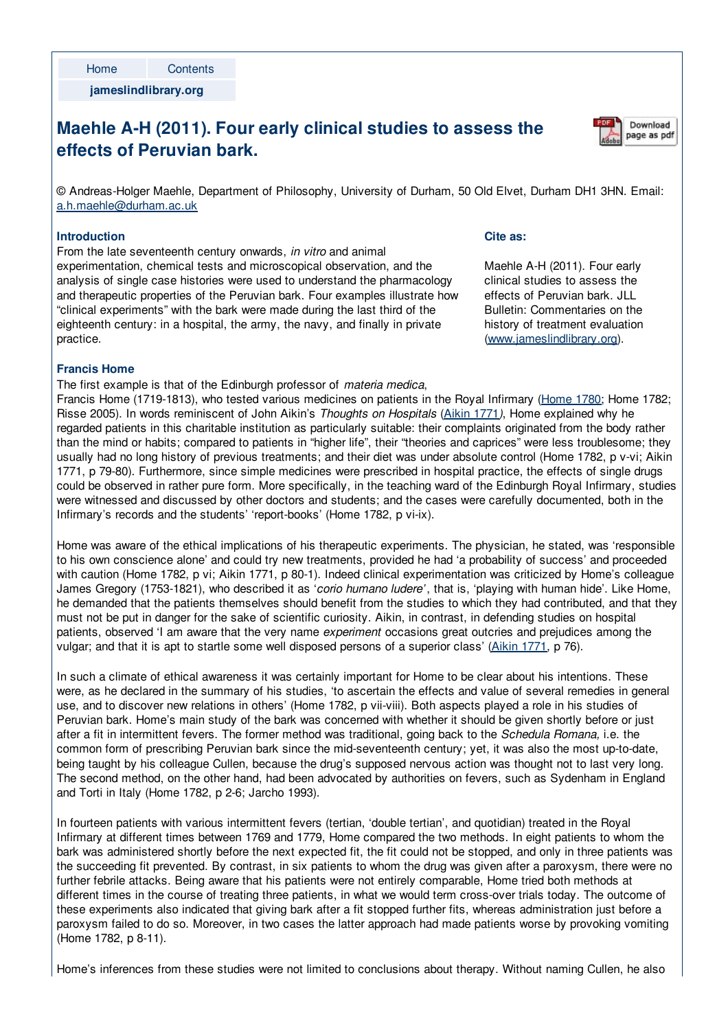**jameslindlibrary.org**

# **Maehle A-H (2011). Four early clinical studies to assess the effects of Peruvian bark.**

Download page as pdf

© Andreas-Holger Maehle, Department of Philosophy, University of Durham, 50 Old Elvet, Durham DH1 3HN. Email: [a.h.maehle@durham.ac.uk](mailto:a.h.maehle@durham.ac.uk)

### **Introduction**

From the late seventeenth century onwards, *in vitro* and animal experimentation, chemical tests and microscopical observation, and the analysis of single case histories were used to understand the pharmacology and therapeutic properties of the Peruvian bark. Four examples illustrate how "clinical experiments" with the bark were made during the last third of the eighteenth century: in a hospital, the army, the navy, and finally in private practice.

### **Cite as:**

Maehle A-H (2011). Four early clinical studies to assess the effects of Peruvian bark. JLL Bulletin: Commentaries on the history of treatment evaluation [\(www.jameslindlibrary.org](http://www.jameslindlibrary.org)).

## **Francis Home**

The first example is that of the Edinburgh professor of *materia medica*,

Francis Home (1719-1813), who tested various medicines on patients in the Royal Infirmary [\(Home](http://www.jameslindlibrary.org/illustrating/records/clinical-experiments-histories-and-dissections/title_pages) 1780; Home 1782; Risse 2005). In words reminiscent of John Aikin's *Thoughts on Hospitals* [\(Aikin](http://www.jameslindlibrary.org/illustrating/records/thoughts-on-hospitals/title_pages) 1771*)*, Home explained why he regarded patients in this charitable institution as particularly suitable: their complaints originated from the body rather than the mind or habits; compared to patients in "higher life", their "theories and caprices" were less troublesome; they usually had no long history of previous treatments; and their diet was under absolute control (Home 1782, p v-vi; Aikin 1771, p 79-80). Furthermore, since simple medicines were prescribed in hospital practice, the effects of single drugs could be observed in rather pure form. More specifically, in the teaching ward of the Edinburgh Royal Infirmary, studies were witnessed and discussed by other doctors and students; and the cases were carefully documented, both in the Infirmary's records and the students' 'report-books' (Home 1782, p vi-ix).

Home was aware of the ethical implications of his therapeutic experiments. The physician, he stated, was 'responsible to his own conscience alone' and could try new treatments, provided he had 'a probability of success' and proceeded with caution (Home 1782, p vi; Aikin 1771, p 80-1). Indeed clinical experimentation was criticized by Home's colleague James Gregory (1753-1821), who described it as '*corio humano ludere'* , that is, 'playing with human hide'. Like Home, he demanded that the patients themselves should benefit from the studies to which they had contributed, and that they must not be put in danger for the sake of scientific curiosity. Aikin, in contrast, in defending studies on hospital patients, observed 'I am aware that the very name *experiment* occasions great outcries and prejudices among the vulgar; and that it is apt to startle some well disposed persons of a superior class' [\(Aikin](http://www.jameslindlibrary.org/illustrating/records/thoughts-on-hospitals/title_pages) 1771, p 76).

In such a climate of ethical awareness it was certainly important for Home to be clear about his intentions. These were, as he declared in the summary of his studies, 'to ascertain the effects and value of several remedies in general use, and to discover new relations in others' (Home 1782, p vii-viii). Both aspects played a role in his studies of Peruvian bark. Home's main study of the bark was concerned with whether it should be given shortly before or just after a fit in intermittent fevers. The former method was traditional, going back to the *Schedula Romana,* i.e. the common form of prescribing Peruvian bark since the mid-seventeenth century; yet, it was also the most up-to-date, being taught by his colleague Cullen, because the drug's supposed nervous action was thought not to last very long. The second method, on the other hand, had been advocated by authorities on fevers, such as Sydenham in England and Torti in Italy (Home 1782, p 2-6; Jarcho 1993).

In fourteen patients with various intermittent fevers (tertian, 'double tertian', and quotidian) treated in the Royal Infirmary at different times between 1769 and 1779, Home compared the two methods. In eight patients to whom the bark was administered shortly before the next expected fit, the fit could not be stopped, and only in three patients was the succeeding fit prevented. By contrast, in six patients to whom the drug was given after a paroxysm, there were no further febrile attacks. Being aware that his patients were not entirely comparable, Home tried both methods at different times in the course of treating three patients, in what we would term cross-over trials today. The outcome of these experiments also indicated that giving bark after a fit stopped further fits, whereas administration just before a paroxysm failed to do so. Moreover, in two cases the latter approach had made patients worse by provoking vomiting (Home 1782, p 8-11).

Home's inferences from these studies were not limited to conclusions about therapy. Without naming Cullen, he also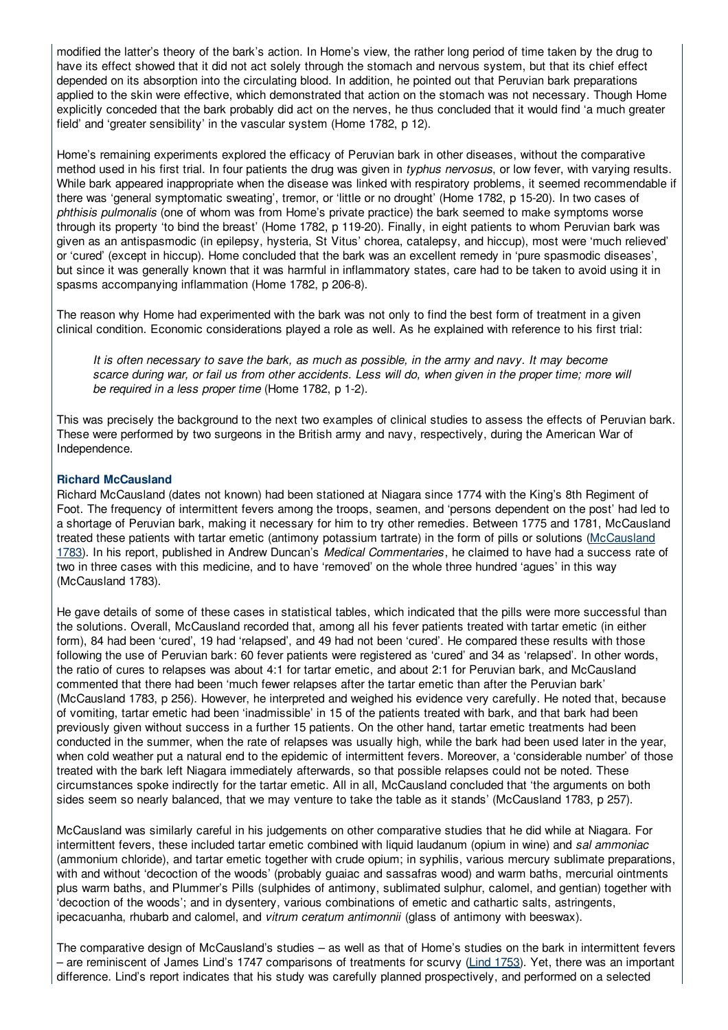modified the latter's theory of the bark's action. In Home's view, the rather long period of time taken by the drug to have its effect showed that it did not act solely through the stomach and nervous system, but that its chief effect depended on its absorption into the circulating blood. In addition, he pointed out that Peruvian bark preparations applied to the skin were effective, which demonstrated that action on the stomach was not necessary. Though Home explicitly conceded that the bark probably did act on the nerves, he thus concluded that it would find 'a much greater field' and 'greater sensibility' in the vascular system (Home 1782, p 12).

Home's remaining experiments explored the efficacy of Peruvian bark in other diseases, without the comparative method used in his first trial. In four patients the drug was given in *typhus nervosus*, or low fever, with varying results. While bark appeared inappropriate when the disease was linked with respiratory problems, it seemed recommendable if there was 'general symptomatic sweating', tremor, or 'little or no drought' (Home 1782, p 15-20). In two cases of *phthisis pulmonalis* (one of whom was from Home's private practice) the bark seemed to make symptoms worse through its property 'to bind the breast' (Home 1782, p 119-20). Finally, in eight patients to whom Peruvian bark was given as an antispasmodic (in epilepsy, hysteria, St Vitus' chorea, catalepsy, and hiccup), most were 'much relieved' or 'cured' (except in hiccup). Home concluded that the bark was an excellent remedy in 'pure spasmodic diseases', but since it was generally known that it was harmful in inflammatory states, care had to be taken to avoid using it in spasms accompanying inflammation (Home 1782, p 206-8).

The reason why Home had experimented with the bark was not only to find the best form of treatment in a given clinical condition. Economic considerations played a role as well. As he explained with reference to his first trial:

It is often necessary to save the bark, as much as possible, in the army and navy. It may become scarce during war, or fail us from other accidents. Less will do, when given in the proper time; more will *be required in a less proper time* (Home 1782, p 1-2)*.*

This was precisely the background to the next two examples of clinical studies to assess the effects of Peruvian bark. These were performed by two surgeons in the British army and navy, respectively, during the American War of Independence.

### **Richard McCausland**

Richard McCausland (dates not known) had been stationed at Niagara since 1774 with the King's 8th Regiment of Foot. The frequency of intermittent fevers among the troops, seamen, and 'persons dependent on the post' had led to a shortage of Peruvian bark, making it necessary for him to try other remedies. Between 1775 and 1781, McCausland treated these patients with tartar emetic (antimony potassium tartrate) in the form of pills or solutions [\(McCausland](http://www.jameslindlibrary.org/illustrating/records/facts-and-observations-on-different-medical-subjects/title_pages) 1783). In his report, published in Andrew Duncan's *Medical Commentaries*, he claimed to have had a success rate of two in three cases with this medicine, and to have 'removed' on the whole three hundred 'agues' in this way (McCausland 1783).

He gave details of some of these cases in statistical tables, which indicated that the pills were more successful than the solutions. Overall, McCausland recorded that, among all his fever patients treated with tartar emetic (in either form), 84 had been 'cured', 19 had 'relapsed', and 49 had not been 'cured'. He compared these results with those following the use of Peruvian bark: 60 fever patients were registered as 'cured' and 34 as 'relapsed'. In other words, the ratio of cures to relapses was about 4:1 for tartar emetic, and about 2:1 for Peruvian bark, and McCausland commented that there had been 'much fewer relapses after the tartar emetic than after the Peruvian bark' (McCausland 1783, p 256). However, he interpreted and weighed his evidence very carefully. He noted that, because of vomiting, tartar emetic had been 'inadmissible' in 15 of the patients treated with bark, and that bark had been previously given without success in a further 15 patients. On the other hand, tartar emetic treatments had been conducted in the summer, when the rate of relapses was usually high, while the bark had been used later in the year, when cold weather put a natural end to the epidemic of intermittent fevers. Moreover, a 'considerable number' of those treated with the bark left Niagara immediately afterwards, so that possible relapses could not be noted. These circumstances spoke indirectly for the tartar emetic. All in all, McCausland concluded that 'the arguments on both sides seem so nearly balanced, that we may venture to take the table as it stands' (McCausland 1783, p 257).

McCausland was similarly careful in his judgements on other comparative studies that he did while at Niagara. For intermittent fevers, these included tartar emetic combined with liquid laudanum (opium in wine) and *sal ammoniac* (ammonium chloride), and tartar emetic together with crude opium; in syphilis, various mercury sublimate preparations, with and without 'decoction of the woods' (probably guaiac and sassafras wood) and warm baths, mercurial ointments plus warm baths, and Plummer's Pills (sulphides of antimony, sublimated sulphur, calomel, and gentian) together with 'decoction of the woods'; and in dysentery, various combinations of emetic and cathartic salts, astringents, ipecacuanha, rhubarb and calomel, and *vitrum ceratum antimonnii* (glass of antimony with beeswax).

The comparative design of McCausland's studies – as well as that of Home's studies on the bark in intermittent fevers – are reminiscent of James Lind's 1747 comparisons of treatments for scurvy (Lind [1753](http://www.jameslindlibrary.org/illustrating/records/a-treatise-of-the-scurvy-in-three-parts-containing-an-inquiry/title_pages)). Yet, there was an important difference. Lind's report indicates that his study was carefully planned prospectively, and performed on a selected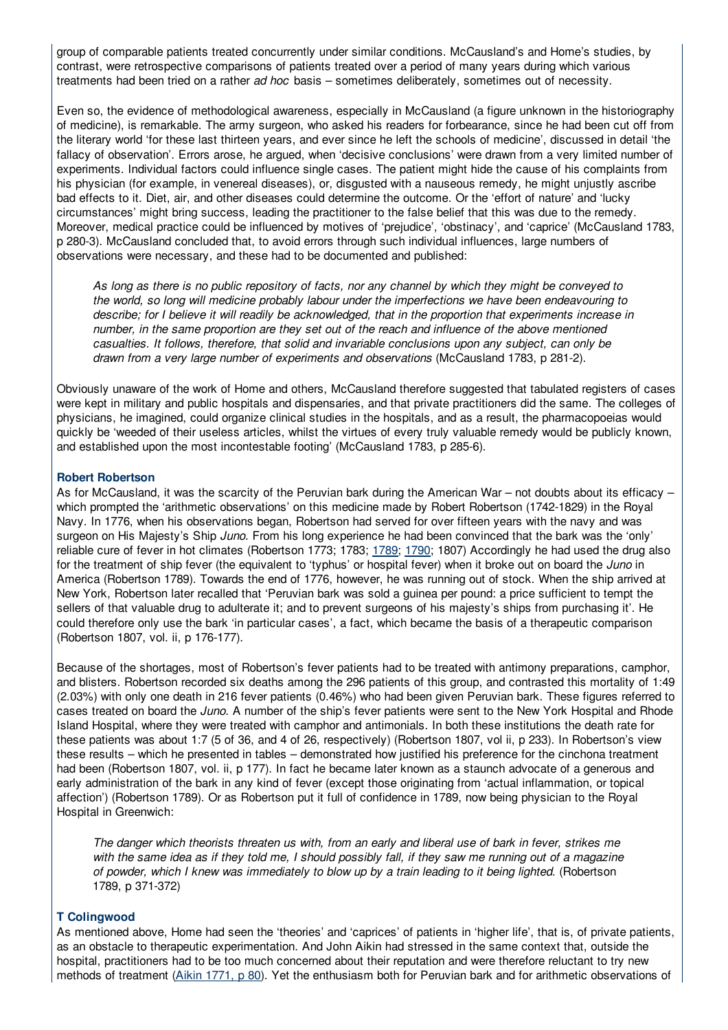group of comparable patients treated concurrently under similar conditions. McCausland's and Home's studies, by contrast, were retrospective comparisons of patients treated over a period of many years during which various treatments had been tried on a rather *ad hoc* basis – sometimes deliberately, sometimes out of necessity.

Even so, the evidence of methodological awareness, especially in McCausland (a figure unknown in the historiography of medicine), is remarkable. The army surgeon, who asked his readers for forbearance, since he had been cut off from the literary world 'for these last thirteen years, and ever since he left the schools of medicine', discussed in detail 'the fallacy of observation'. Errors arose, he argued, when 'decisive conclusions' were drawn from a very limited number of experiments. Individual factors could influence single cases. The patient might hide the cause of his complaints from his physician (for example, in venereal diseases), or, disgusted with a nauseous remedy, he might unjustly ascribe bad effects to it. Diet, air, and other diseases could determine the outcome. Or the 'effort of nature' and 'lucky circumstances' might bring success, leading the practitioner to the false belief that this was due to the remedy. Moreover, medical practice could be influenced by motives of 'prejudice', 'obstinacy', and 'caprice' (McCausland 1783, p 280-3). McCausland concluded that, to avoid errors through such individual influences, large numbers of observations were necessary, and these had to be documented and published:

As long as there is no public repository of facts, nor any channel by which they might be conveyed to *the world, so long will medicine probably labour under the imperfections we have been endeavouring to* describe; for I believe it will readily be acknowledged, that in the proportion that experiments increase in *number, in the same proportion are they set out of the reach and influence of the above mentioned casualties. It follows, therefore, that solid and invariable conclusions upon any subject, can only be drawn from a very large number of experiments and observations* (McCausland 1783, p 281-2).

Obviously unaware of the work of Home and others, McCausland therefore suggested that tabulated registers of cases were kept in military and public hospitals and dispensaries, and that private practitioners did the same. The colleges of physicians, he imagined, could organize clinical studies in the hospitals, and as a result, the pharmacopoeias would quickly be 'weeded of their useless articles, whilst the virtues of every truly valuable remedy would be publicly known, and established upon the most incontestable footing' (McCausland 1783, p 285-6).

### **Robert Robertson**

As for McCausland, it was the scarcity of the Peruvian bark during the American War – not doubts about its efficacy – which prompted the 'arithmetic observations' on this medicine made by Robert Robertson (1742-1829) in the Royal Navy. In 1776, when his observations began, Robertson had served for over fifteen years with the navy and was surgeon on His Majesty's Ship *Juno*. From his long experience he had been convinced that the bark was the 'only' reliable cure of fever in hot climates (Robertson 1773; 1783; [1789](http://www.jameslindlibrary.org/illustrating/records/observations-on-jail-hospital-or-ship-fever/title_pages); [1790](http://www.jameslindlibrary.org/illustrating/records/essay-on-fever/title_pages); 1807) Accordingly he had used the drug also for the treatment of ship fever (the equivalent to 'typhus' or hospital fever) when it broke out on board the *Juno* in America (Robertson 1789). Towards the end of 1776, however, he was running out of stock. When the ship arrived at New York, Robertson later recalled that 'Peruvian bark was sold a guinea per pound: a price sufficient to tempt the sellers of that valuable drug to adulterate it; and to prevent surgeons of his majesty's ships from purchasing it'. He could therefore only use the bark 'in particular cases', a fact, which became the basis of a therapeutic comparison (Robertson 1807, vol. ii, p 176-177).

Because of the shortages, most of Robertson's fever patients had to be treated with antimony preparations, camphor, and blisters. Robertson recorded six deaths among the 296 patients of this group, and contrasted this mortality of 1:49 (2.03%) with only one death in 216 fever patients (0.46%) who had been given Peruvian bark. These figures referred to cases treated on board the *Juno*. A number of the ship's fever patients were sent to the New York Hospital and Rhode Island Hospital, where they were treated with camphor and antimonials. In both these institutions the death rate for these patients was about 1:7 (5 of 36, and 4 of 26, respectively) (Robertson 1807, vol ii, p 233). In Robertson's view these results – which he presented in tables – demonstrated how justified his preference for the cinchona treatment had been (Robertson 1807, vol. ii, p 177). In fact he became later known as a staunch advocate of a generous and early administration of the bark in any kind of fever (except those originating from 'actual inflammation, or topical affection') (Robertson 1789). Or as Robertson put it full of confidence in 1789, now being physician to the Royal Hospital in Greenwich:

The danger which theorists threaten us with, from an early and liberal use of bark in fever, strikes me with the same idea as if they told me, I should possibly fall, if they saw me running out of a magazine of powder, which I knew was immediately to blow up by a train leading to it being lighted. (Robertson 1789, p 371-372)

## **T Colingwood**

As mentioned above, Home had seen the 'theories' and 'caprices' of patients in 'higher life', that is, of private patients, as an obstacle to therapeutic experimentation. And John Aikin had stressed in the same context that, outside the hospital, practitioners had to be too much concerned about their reputation and were therefore reluctant to try new methods of treatment (Aikin [1771,](http://www.jameslindlibrary.org/illustrating/records/thoughts-on-hospitals/key_passages?page=3) p 80). Yet the enthusiasm both for Peruvian bark and for arithmetic observations of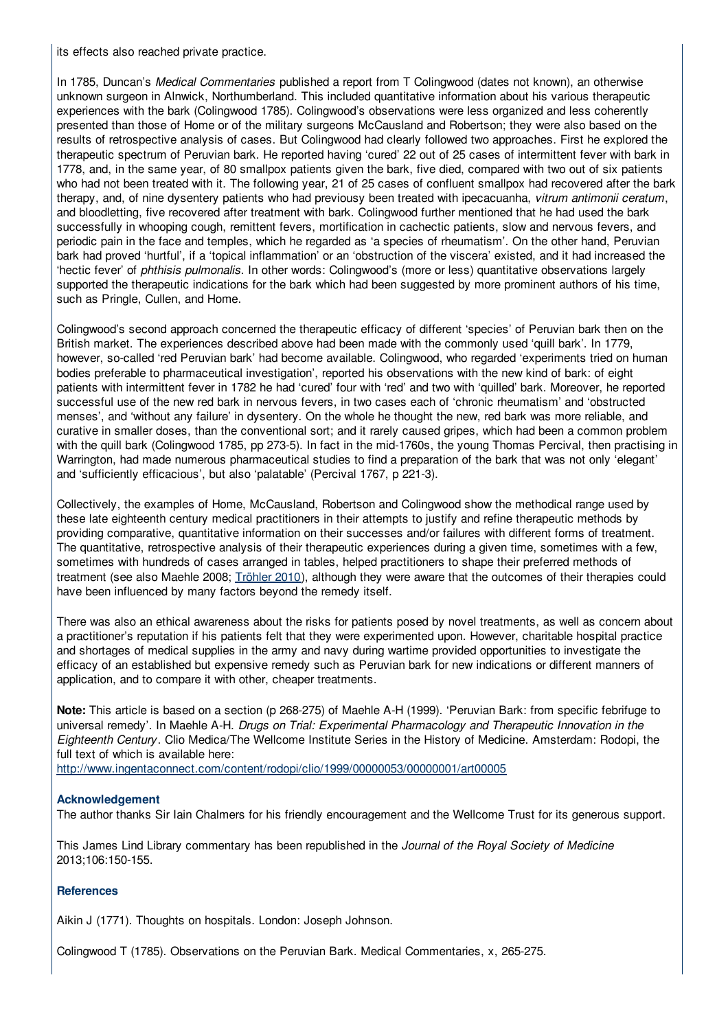its effects also reached private practice.

In 1785, Duncan's *Medical Commentaries* published a report from T Colingwood (dates not known), an otherwise unknown surgeon in Alnwick, Northumberland. This included quantitative information about his various therapeutic experiences with the bark (Colingwood 1785). Colingwood's observations were less organized and less coherently presented than those of Home or of the military surgeons McCausland and Robertson; they were also based on the results of retrospective analysis of cases. But Colingwood had clearly followed two approaches. First he explored the therapeutic spectrum of Peruvian bark. He reported having 'cured' 22 out of 25 cases of intermittent fever with bark in 1778, and, in the same year, of 80 smallpox patients given the bark, five died, compared with two out of six patients who had not been treated with it. The following year, 21 of 25 cases of confluent smallpox had recovered after the bark therapy, and, of nine dysentery patients who had previousy been treated with ipecacuanha, *vitrum antimonii ceratum*, and bloodletting, five recovered after treatment with bark. Colingwood further mentioned that he had used the bark successfully in whooping cough, remittent fevers, mortification in cachectic patients, slow and nervous fevers, and periodic pain in the face and temples, which he regarded as 'a species of rheumatism'. On the other hand, Peruvian bark had proved 'hurtful', if a 'topical inflammation' or an 'obstruction of the viscera' existed, and it had increased the 'hectic fever' of *phthisis pulmonalis*. In other words: Colingwood's (more or less) quantitative observations largely supported the therapeutic indications for the bark which had been suggested by more prominent authors of his time, such as Pringle, Cullen, and Home.

Colingwood's second approach concerned the therapeutic efficacy of different 'species' of Peruvian bark then on the British market. The experiences described above had been made with the commonly used 'quill bark'. In 1779, however, so-called 'red Peruvian bark' had become available. Colingwood, who regarded 'experiments tried on human bodies preferable to pharmaceutical investigation', reported his observations with the new kind of bark: of eight patients with intermittent fever in 1782 he had 'cured' four with 'red' and two with 'quilled' bark. Moreover, he reported successful use of the new red bark in nervous fevers, in two cases each of 'chronic rheumatism' and 'obstructed menses', and 'without any failure' in dysentery. On the whole he thought the new, red bark was more reliable, and curative in smaller doses, than the conventional sort; and it rarely caused gripes, which had been a common problem with the quill bark (Colingwood 1785, pp 273-5). In fact in the mid-1760s, the young Thomas Percival, then practising in Warrington, had made numerous pharmaceutical studies to find a preparation of the bark that was not only 'elegant' and 'sufficiently efficacious', but also 'palatable' (Percival 1767, p 221-3).

Collectively, the examples of Home, McCausland, Robertson and Colingwood show the methodical range used by these late eighteenth century medical practitioners in their attempts to justify and refine therapeutic methods by providing comparative, quantitative information on their successes and/or failures with different forms of treatment. The quantitative, retrospective analysis of their therapeutic experiences during a given time, sometimes with a few, sometimes with hundreds of cases arranged in tables, helped practitioners to shape their preferred methods of treatment (see also Maehle 2008; [Tröhler](http://www.jameslindlibrary.org/illustrating/articles/the-introduction-of-numerical-methods-to-assess-the-effects-of-m) 2010), although they were aware that the outcomes of their therapies could have been influenced by many factors beyond the remedy itself.

There was also an ethical awareness about the risks for patients posed by novel treatments, as well as concern about a practitioner's reputation if his patients felt that they were experimented upon. However, charitable hospital practice and shortages of medical supplies in the army and navy during wartime provided opportunities to investigate the efficacy of an established but expensive remedy such as Peruvian bark for new indications or different manners of application, and to compare it with other, cheaper treatments.

**Note:** This article is based on a section (p 268-275) of Maehle A-H (1999). 'Peruvian Bark: from specific febrifuge to universal remedy'. In Maehle A-H. *Drugs on Trial: Experimental Pharmacology and Therapeutic Innovation in the Eighteenth Century*. Clio Medica/The Wellcome Institute Series in the History of Medicine. Amsterdam: Rodopi, the full text of which is available here:

<http://www.ingentaconnect.com/content/rodopi/clio/1999/00000053/00000001/art00005>

### **Acknowledgement**

The author thanks Sir Iain Chalmers for his friendly encouragement and the Wellcome Trust for its generous support.

This James Lind Library commentary has been republished in the *Journal of the Royal Society of Medicine* 2013;106:150-155.

### **References**

Aikin J (1771). Thoughts on hospitals. London: Joseph Johnson.

Colingwood T (1785). Observations on the Peruvian Bark. Medical Commentaries, x, 265-275.